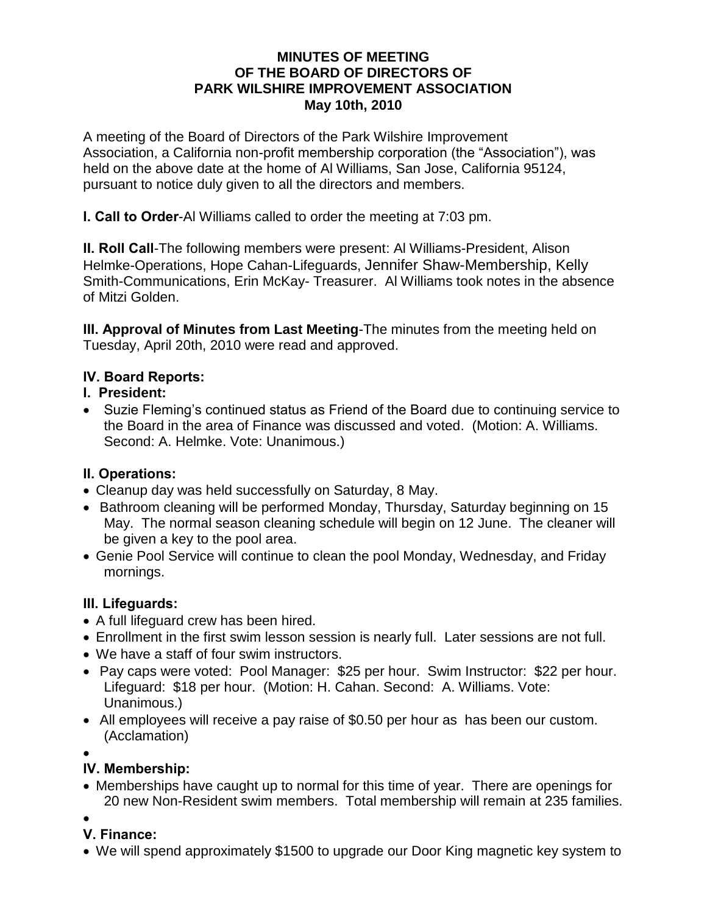#### **MINUTES OF MEETING OF THE BOARD OF DIRECTORS OF PARK WILSHIRE IMPROVEMENT ASSOCIATION May 10th, 2010**

A meeting of the Board of Directors of the Park Wilshire Improvement Association, a California non-profit membership corporation (the "Association"), was held on the above date at the home of Al Williams, San Jose, California 95124, pursuant to notice duly given to all the directors and members.

**I. Call to Order**-Al Williams called to order the meeting at 7:03 pm.

**II. Roll Call**-The following members were present: Al Williams-President, Alison Helmke-Operations, Hope Cahan-Lifeguards, Jennifer Shaw-Membership, Kelly Smith-Communications, Erin McKay- Treasurer. Al Williams took notes in the absence of Mitzi Golden.

**III. Approval of Minutes from Last Meeting**-The minutes from the meeting held on Tuesday, April 20th, 2010 were read and approved.

### **IV. Board Reports:**

### **I. President:**

 Suzie Fleming's continued status as Friend of the Board due to continuing service to the Board in the area of Finance was discussed and voted. (Motion: A. Williams. Second: A. Helmke. Vote: Unanimous.)

### **II. Operations:**

- Cleanup day was held successfully on Saturday, 8 May.
- Bathroom cleaning will be performed Monday, Thursday, Saturday beginning on 15 May. The normal season cleaning schedule will begin on 12 June. The cleaner will be given a key to the pool area.
- Genie Pool Service will continue to clean the pool Monday, Wednesday, and Friday mornings.

### **III. Lifeguards:**

- A full lifeguard crew has been hired.
- Enrollment in the first swim lesson session is nearly full. Later sessions are not full.
- We have a staff of four swim instructors.
- Pay caps were voted: Pool Manager: \$25 per hour. Swim Instructor: \$22 per hour. Lifeguard: \$18 per hour. (Motion: H. Cahan. Second: A. Williams. Vote: Unanimous.)
- All employees will receive a pay raise of \$0.50 per hour as has been our custom. (Acclamation)

 $\bullet$ 

# **IV. Membership:**

- Memberships have caught up to normal for this time of year. There are openings for 20 new Non-Resident swim members. Total membership will remain at 235 families.
- $\bullet$
- **V. Finance:**
- We will spend approximately \$1500 to upgrade our Door King magnetic key system to